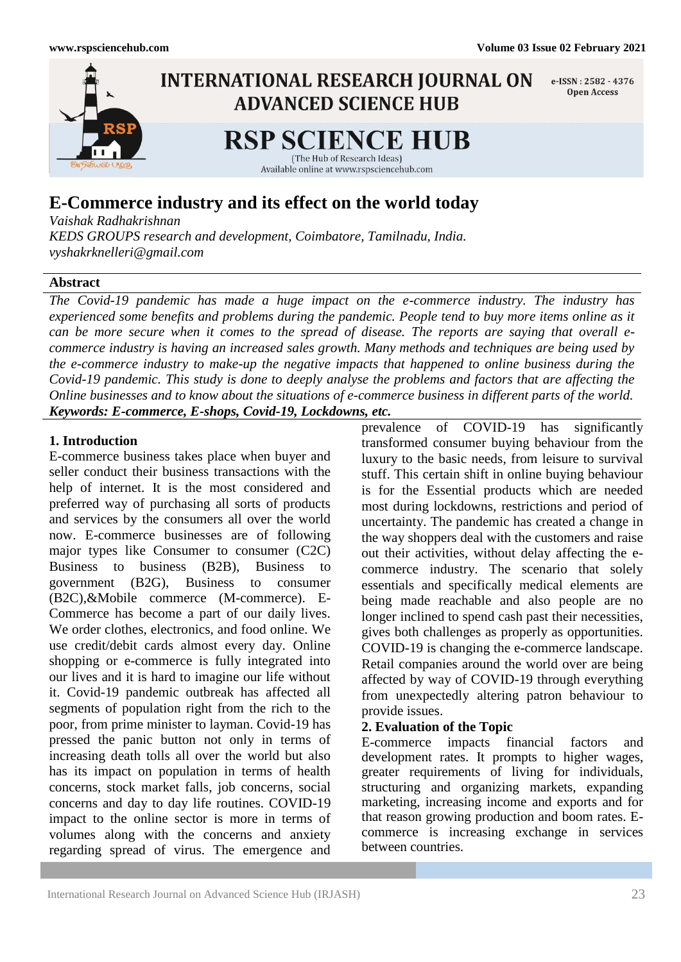

# **E-Commerce industry and its effect on the world today**

*Vaishak Radhakrishnan*

*KEDS GROUPS research and development, Coimbatore, Tamilnadu, India. vyshakrknelleri@gmail.com*

## **Abstract**

*The Covid-19 pandemic has made a huge impact on the e-commerce industry. The industry has experienced some benefits and problems during the pandemic. People tend to buy more items online as it can be more secure when it comes to the spread of disease. The reports are saying that overall ecommerce industry is having an increased sales growth. Many methods and techniques are being used by the e-commerce industry to make-up the negative impacts that happened to online business during the Covid-19 pandemic. This study is done to deeply analyse the problems and factors that are affecting the Online businesses and to know about the situations of e-commerce business in different parts of the world. Keywords: E-commerce, E-shops, Covid-19, Lockdowns, etc.* 

## **1. Introduction**

E-commerce business takes place when buyer and seller conduct their business transactions with the help of internet. It is the most considered and preferred way of purchasing all sorts of products and services by the consumers all over the world now. E-commerce businesses are of following major types like Consumer to consumer (C2C) Business to business (B2B), Business to government (B2G), Business to consumer (B2C),&Mobile commerce (M-commerce). E-Commerce has become a part of our daily lives. We order clothes, electronics, and food online. We use credit/debit cards almost every day. Online shopping or e-commerce is fully integrated into our lives and it is hard to imagine our life without it. Covid-19 pandemic outbreak has affected all segments of population right from the rich to the poor, from prime minister to layman. Covid-19 has pressed the panic button not only in terms of increasing death tolls all over the world but also has its impact on population in terms of health concerns, stock market falls, job concerns, social concerns and day to day life routines. COVID-19 impact to the online sector is more in terms of volumes along with the concerns and anxiety regarding spread of virus. The emergence and

prevalence of COVID-19 has significantly transformed consumer buying behaviour from the luxury to the basic needs, from leisure to survival stuff. This certain shift in online buying behaviour is for the Essential products which are needed most during lockdowns, restrictions and period of uncertainty. The pandemic has created a change in the way shoppers deal with the customers and raise out their activities, without delay affecting the ecommerce industry. The scenario that solely essentials and specifically medical elements are being made reachable and also people are no longer inclined to spend cash past their necessities, gives both challenges as properly as opportunities. COVID-19 is changing the e-commerce landscape. Retail companies around the world over are being affected by way of COVID-19 through everything from unexpectedly altering patron behaviour to provide issues.

## **2. Evaluation of the Topic**

E-commerce impacts financial factors and development rates. It prompts to higher wages, greater requirements of living for individuals, structuring and organizing markets, expanding marketing, increasing income and exports and for that reason growing production and boom rates. Ecommerce is increasing exchange in services between countries.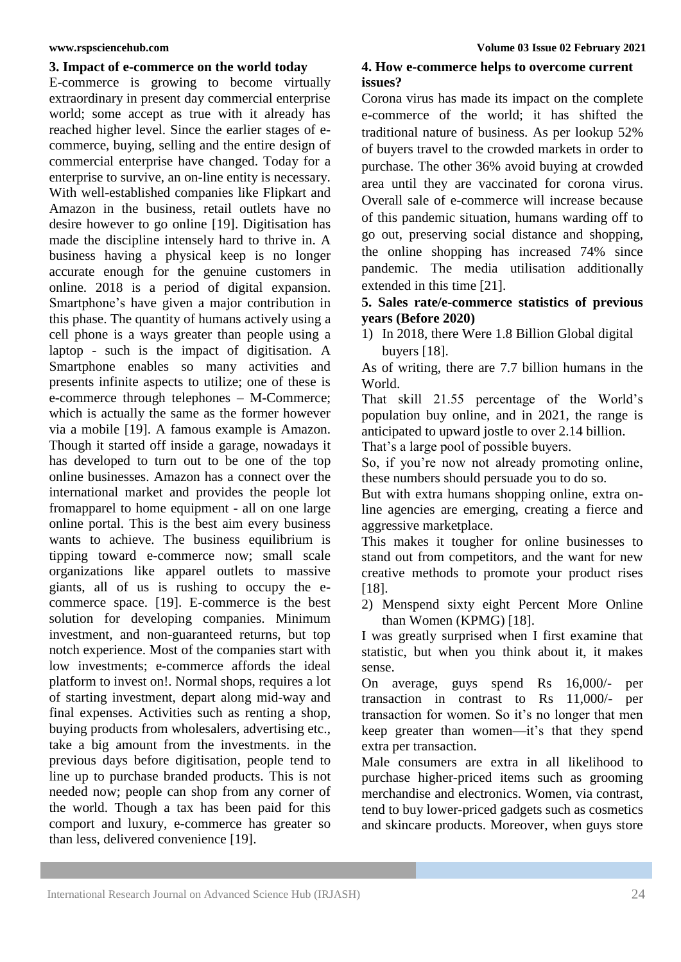## **3. Impact of e-commerce on the world today**

E-commerce is growing to become virtually extraordinary in present day commercial enterprise world; some accept as true with it already has reached higher level. Since the earlier stages of ecommerce, buying, selling and the entire design of commercial enterprise have changed. Today for a enterprise to survive, an on-line entity is necessary. With well-established companies like Flipkart and Amazon in the business, retail outlets have no desire however to go online [19]. Digitisation has made the discipline intensely hard to thrive in. A business having a physical keep is no longer accurate enough for the genuine customers in online. 2018 is a period of digital expansion. Smartphone's have given a major contribution in this phase. The quantity of humans actively using a cell phone is a ways greater than people using a laptop - such is the impact of digitisation. A Smartphone enables so many activities and presents infinite aspects to utilize; one of these is e-commerce through telephones – M-Commerce; which is actually the same as the former however via a mobile [19]. A famous example is Amazon. Though it started off inside a garage, nowadays it has developed to turn out to be one of the top online businesses. Amazon has a connect over the international market and provides the people lot fromapparel to home equipment - all on one large online portal. This is the best aim every business wants to achieve. The business equilibrium is tipping toward e-commerce now; small scale organizations like apparel outlets to massive giants, all of us is rushing to occupy the ecommerce space. [19]. E-commerce is the best solution for developing companies. Minimum investment, and non-guaranteed returns, but top notch experience. Most of the companies start with low investments; e-commerce affords the ideal platform to invest on!. Normal shops, requires a lot of starting investment, depart along mid-way and final expenses. Activities such as renting a shop, buying products from wholesalers, advertising etc., take a big amount from the investments. in the previous days before digitisation, people tend to line up to purchase branded products. This is not needed now; people can shop from any corner of the world. Though a tax has been paid for this comport and luxury, e-commerce has greater so than less, delivered convenience [19].

## **4. How e-commerce helps to overcome current issues?**

Corona virus has made its impact on the complete e-commerce of the world; it has shifted the traditional nature of business. As per lookup 52% of buyers travel to the crowded markets in order to purchase. The other 36% avoid buying at crowded area until they are vaccinated for corona virus. Overall sale of e-commerce will increase because of this pandemic situation, humans warding off to go out, preserving social distance and shopping, the online shopping has increased 74% since pandemic. The media utilisation additionally extended in this time [21].

## **5. Sales rate/e-commerce statistics of previous years (Before 2020)**

1) In 2018, there Were 1.8 Billion Global digital buyers [18].

As of writing, there are 7.7 billion humans in the World.

That skill 21.55 percentage of the World's population buy online, and in 2021, the range is anticipated to upward jostle to over 2.14 billion.

That's a large pool of possible buyers.

So, if you're now not already promoting online, these numbers should persuade you to do so.

But with extra humans shopping online, extra online agencies are emerging, creating a fierce and aggressive marketplace.

This makes it tougher for online businesses to stand out from competitors, and the want for new creative methods to promote your product rises [18].

2) Menspend sixty eight Percent More Online than Women (KPMG) [18].

I was greatly surprised when I first examine that statistic, but when you think about it, it makes sense.

On average, guys spend Rs 16,000/- per transaction in contrast to Rs 11,000/- per transaction for women. So it's no longer that men keep greater than women—it's that they spend extra per transaction.

Male consumers are extra in all likelihood to purchase higher-priced items such as grooming merchandise and electronics. Women, via contrast, tend to buy lower-priced gadgets such as cosmetics and skincare products. Moreover, when guys store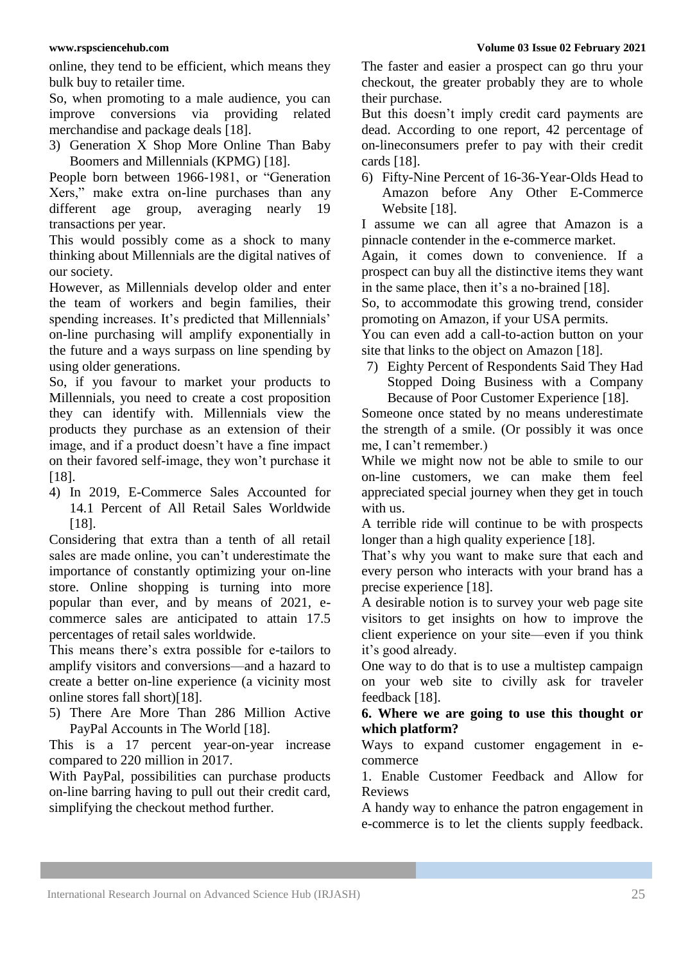online, they tend to be efficient, which means they bulk buy to retailer time.

So, when promoting to a male audience, you can improve conversions via providing related merchandise and package deals [18].

3) Generation X Shop More Online Than Baby Boomers and Millennials (KPMG) [18].

People born between 1966-1981, or "Generation Xers," make extra on-line purchases than any different age group, averaging nearly 19 transactions per year.

This would possibly come as a shock to many thinking about Millennials are the digital natives of our society.

However, as Millennials develop older and enter the team of workers and begin families, their spending increases. It's predicted that Millennials' on-line purchasing will amplify exponentially in the future and a ways surpass on line spending by using older generations.

So, if you favour to market your products to Millennials, you need to create a cost proposition they can identify with. Millennials view the products they purchase as an extension of their image, and if a product doesn't have a fine impact on their favored self-image, they won't purchase it [18].

4) In 2019, E-Commerce Sales Accounted for 14.1 Percent of All Retail Sales Worldwide [18].

Considering that extra than a tenth of all retail sales are made online, you can't underestimate the importance of constantly optimizing your on-line store. Online shopping is turning into more popular than ever, and by means of 2021, ecommerce sales are anticipated to attain 17.5 percentages of retail sales worldwide.

This means there's extra possible for e-tailors to amplify visitors and conversions—and a hazard to create a better on-line experience (a vicinity most online stores fall short)[18].

5) There Are More Than 286 Million Active PayPal Accounts in The World [18].

This is a 17 percent year-on-year increase compared to 220 million in 2017.

With PayPal, possibilities can purchase products on-line barring having to pull out their credit card, simplifying the checkout method further.

The faster and easier a prospect can go thru your checkout, the greater probably they are to whole their purchase.

But this doesn't imply credit card payments are dead. According to one report, 42 percentage of on-lineconsumers prefer to pay with their credit cards [18].

6) Fifty-Nine Percent of 16-36-Year-Olds Head to Amazon before Any Other E-Commerce Website [18].

I assume we can all agree that Amazon is a pinnacle contender in the e-commerce market.

Again, it comes down to convenience. If a prospect can buy all the distinctive items they want in the same place, then it's a no-brained [18].

So, to accommodate this growing trend, consider promoting on Amazon, if your USA permits.

You can even add a call-to-action button on your site that links to the object on Amazon [18].

7) Eighty Percent of Respondents Said They Had Stopped Doing Business with a Company Because of Poor Customer Experience [18].

Someone once stated by no means underestimate the strength of a smile. (Or possibly it was once me, I can't remember.)

While we might now not be able to smile to our on-line customers, we can make them feel appreciated special journey when they get in touch with us.

A terrible ride will continue to be with prospects longer than a high quality experience [18].

That's why you want to make sure that each and every person who interacts with your brand has a precise experience [18].

A desirable notion is to survey your web page site visitors to get insights on how to improve the client experience on your site—even if you think it's good already.

One way to do that is to use a multistep campaign on your web site to civilly ask for traveler feedback [18].

## **6. Where we are going to use this thought or which platform?**

Ways to expand customer engagement in ecommerce

1. Enable Customer Feedback and Allow for Reviews

A handy way to enhance the patron engagement in e-commerce is to let the clients supply feedback.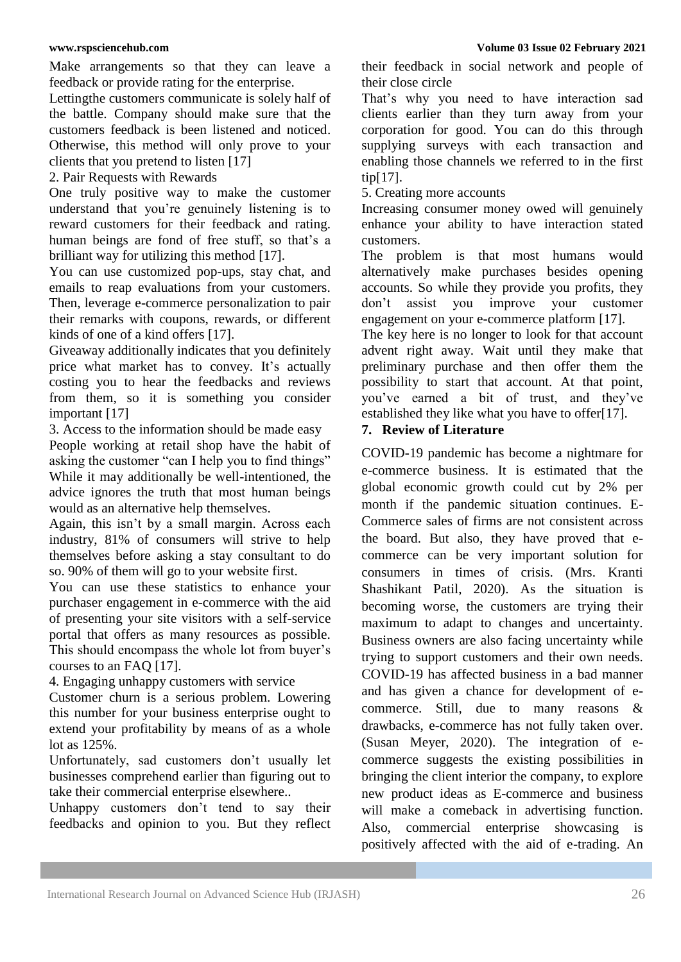Make arrangements so that they can leave a feedback or provide rating for the enterprise.

Lettingthe customers communicate is solely half of the battle. Company should make sure that the customers feedback is been listened and noticed. Otherwise, this method will only prove to your clients that you pretend to listen [17]

2. Pair Requests with Rewards

One truly positive way to make the customer understand that you're genuinely listening is to reward customers for their feedback and rating. human beings are fond of free stuff, so that's a brilliant way for utilizing this method [17].

You can use customized pop-ups, stay chat, and emails to reap evaluations from your customers. Then, leverage e-commerce personalization to pair their remarks with coupons, rewards, or different kinds of one of a kind offers [17].

Giveaway additionally indicates that you definitely price what market has to convey. It's actually costing you to hear the feedbacks and reviews from them, so it is something you consider important [17]

3. Access to the information should be made easy

People working at retail shop have the habit of asking the customer "can I help you to find things" While it may additionally be well-intentioned, the advice ignores the truth that most human beings would as an alternative help themselves.

Again, this isn't by a small margin. Across each industry, 81% of consumers will strive to help themselves before asking a stay consultant to do so. 90% of them will go to your website first.

You can use these statistics to enhance your purchaser engagement in e-commerce with the aid of presenting your site visitors with a self-service portal that offers as many resources as possible. This should encompass the whole lot from buyer's courses to an FAQ [17].

4. Engaging unhappy customers with service

Customer churn is a serious problem. Lowering this number for your business enterprise ought to extend your profitability by means of as a whole lot as 125%.

Unfortunately, sad customers don't usually let businesses comprehend earlier than figuring out to take their commercial enterprise elsewhere..

Unhappy customers don't tend to say their feedbacks and opinion to you. But they reflect their feedback in social network and people of their close circle

That's why you need to have interaction sad clients earlier than they turn away from your corporation for good. You can do this through supplying surveys with each transaction and enabling those channels we referred to in the first tip[17].

5. Creating more accounts

Increasing consumer money owed will genuinely enhance your ability to have interaction stated customers.

The problem is that most humans would alternatively make purchases besides opening accounts. So while they provide you profits, they don't assist you improve your customer engagement on your e-commerce platform [17].

The key here is no longer to look for that account advent right away. Wait until they make that preliminary purchase and then offer them the possibility to start that account. At that point, you've earned a bit of trust, and they've established they like what you have to offer[17].

## **7. Review of Literature**

COVID-19 pandemic has become a nightmare for e-commerce business. It is estimated that the global economic growth could cut by 2% per month if the pandemic situation continues. E-Commerce sales of firms are not consistent across the board. But also, they have proved that ecommerce can be very important solution for consumers in times of crisis. (Mrs. Kranti Shashikant Patil, 2020). As the situation is becoming worse, the customers are trying their maximum to adapt to changes and uncertainty. Business owners are also facing uncertainty while trying to support customers and their own needs. COVID-19 has affected business in a bad manner and has given a chance for development of ecommerce. Still, due to many reasons & drawbacks, e-commerce has not fully taken over. (Susan Meyer, 2020). The integration of ecommerce suggests the existing possibilities in bringing the client interior the company, to explore new product ideas as E-commerce and business will make a comeback in advertising function. Also, commercial enterprise showcasing is positively affected with the aid of e-trading. An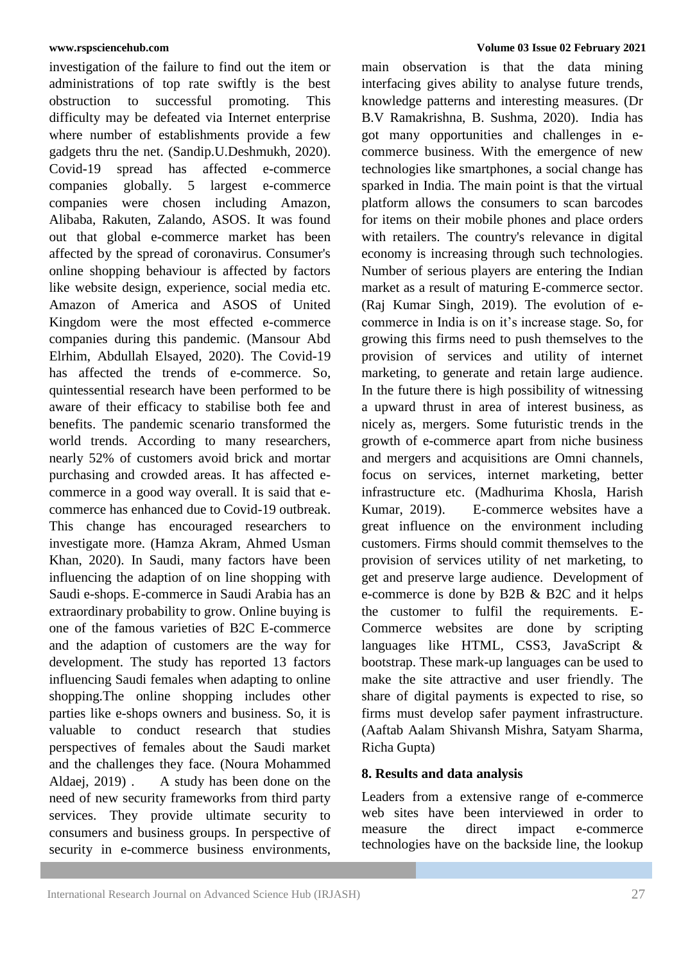investigation of the failure to find out the item or administrations of top rate swiftly is the best obstruction to successful promoting. This difficulty may be defeated via Internet enterprise where number of establishments provide a few gadgets thru the net. (Sandip.U.Deshmukh, 2020). Covid-19 spread has affected e-commerce companies globally. 5 largest e-commerce companies were chosen including Amazon, Alibaba, Rakuten, Zalando, ASOS. It was found out that global e-commerce market has been affected by the spread of coronavirus. Consumer's online shopping behaviour is affected by factors like website design, experience, social media etc. Amazon of America and ASOS of United Kingdom were the most effected e-commerce companies during this pandemic. (Mansour Abd Elrhim, Abdullah Elsayed, 2020). The Covid-19 has affected the trends of e-commerce. So, quintessential research have been performed to be aware of their efficacy to stabilise both fee and benefits. The pandemic scenario transformed the world trends. According to many researchers, nearly 52% of customers avoid brick and mortar purchasing and crowded areas. It has affected ecommerce in a good way overall. It is said that ecommerce has enhanced due to Covid-19 outbreak. This change has encouraged researchers to investigate more. (Hamza Akram, Ahmed Usman Khan, 2020). In Saudi, many factors have been influencing the adaption of on line shopping with Saudi e-shops. E-commerce in Saudi Arabia has an extraordinary probability to grow. Online buying is one of the famous varieties of B2C E-commerce and the adaption of customers are the way for development. The study has reported 13 factors influencing Saudi females when adapting to online shopping.The online shopping includes other parties like e-shops owners and business. So, it is valuable to conduct research that studies perspectives of females about the Saudi market and the challenges they face. (Noura Mohammed Aldaej, 2019) . A study has been done on the need of new security frameworks from third party services. They provide ultimate security to consumers and business groups. In perspective of security in e-commerce business environments,

main observation is that the data mining interfacing gives ability to analyse future trends, knowledge patterns and interesting measures. (Dr B.V Ramakrishna, B. Sushma, 2020). India has got many opportunities and challenges in ecommerce business. With the emergence of new technologies like smartphones, a social change has sparked in India. The main point is that the virtual platform allows the consumers to scan barcodes for items on their mobile phones and place orders with retailers. The country's relevance in digital economy is increasing through such technologies. Number of serious players are entering the Indian market as a result of maturing E-commerce sector. (Raj Kumar Singh, 2019). The evolution of ecommerce in India is on it's increase stage. So, for growing this firms need to push themselves to the provision of services and utility of internet marketing, to generate and retain large audience. In the future there is high possibility of witnessing a upward thrust in area of interest business, as nicely as, mergers. Some futuristic trends in the growth of e-commerce apart from niche business and mergers and acquisitions are Omni channels, focus on services, internet marketing, better infrastructure etc. (Madhurima Khosla, Harish Kumar, 2019). E-commerce websites have a great influence on the environment including customers. Firms should commit themselves to the provision of services utility of net marketing, to get and preserve large audience. Development of e-commerce is done by B2B & B2C and it helps the customer to fulfil the requirements. E-Commerce websites are done by scripting languages like HTML, CSS3, JavaScript & bootstrap. These mark-up languages can be used to make the site attractive and user friendly. The share of digital payments is expected to rise, so firms must develop safer payment infrastructure. (Aaftab Aalam Shivansh Mishra, Satyam Sharma, Richa Gupta)

### **8. Results and data analysis**

Leaders from a extensive range of e-commerce web sites have been interviewed in order to measure the direct impact e-commerce technologies have on the backside line, the lookup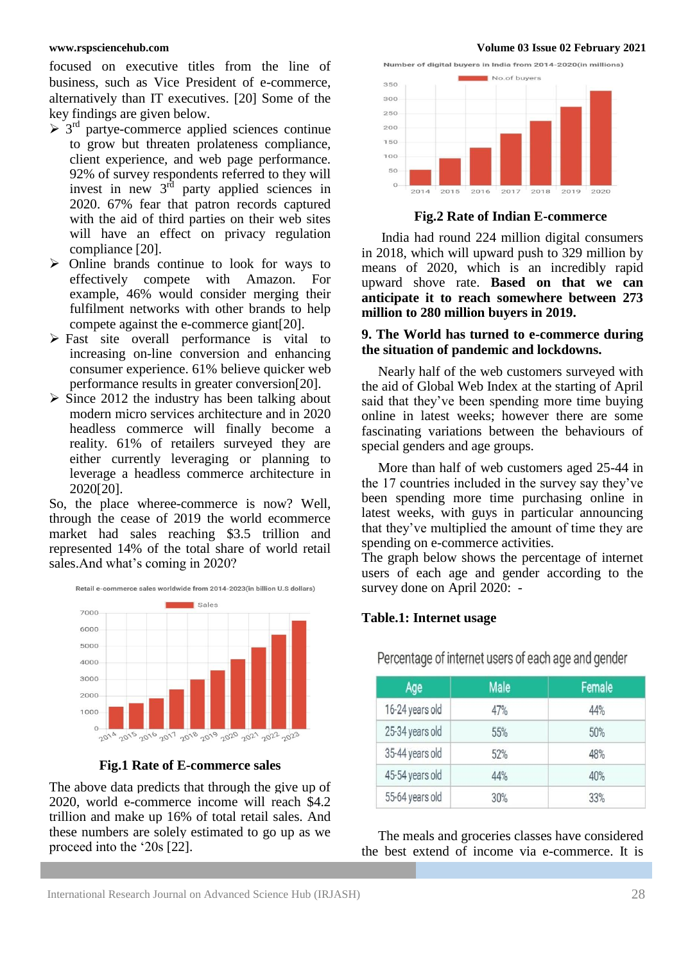focused on executive titles from the line of business, such as Vice President of e-commerce, alternatively than IT executives. [20] Some of the key findings are given below.

- $>$  3<sup>rd</sup> partye-commerce applied sciences continue to grow but threaten prolateness compliance, client experience, and web page performance. 92% of survey respondents referred to they will invest in new  $3^{rd}$  party applied sciences in 2020. 67% fear that patron records captured with the aid of third parties on their web sites will have an effect on privacy regulation compliance [20].
- $\triangleright$  Online brands continue to look for ways to effectively compete with Amazon. For example, 46% would consider merging their fulfilment networks with other brands to help compete against the e-commerce giant[20].
- $\triangleright$  Fast site overall performance is vital to increasing on-line conversion and enhancing consumer experience. 61% believe quicker web performance results in greater conversion[20].
- $\triangleright$  Since 2012 the industry has been talking about modern micro services architecture and in 2020 headless commerce will finally become a reality. 61% of retailers surveyed they are either currently leveraging or planning to leverage a headless commerce architecture in 2020[20].

So, the place wheree-commerce is now? Well, through the cease of 2019 the world ecommerce market had sales reaching \$3.5 trillion and represented 14% of the total share of world retail sales.And what's coming in 2020?



**Fig.1 Rate of E-commerce sales**

The above data predicts that through the give up of 2020, world e-commerce income will reach \$4.2 trillion and make up 16% of total retail sales. And these numbers are solely estimated to go up as we proceed into the '20s [22].

**www.rspsciencehub.com Volume 03 Issue 02 February 2021**



**Fig.2 Rate of Indian E-commerce** 

India had round 224 million digital consumers in 2018, which will upward push to 329 million by means of 2020, which is an incredibly rapid upward shove rate. **Based on that we can anticipate it to reach somewhere between 273 million to 280 million buyers in 2019.** 

### **9. The World has turned to e-commerce during the situation of pandemic and lockdowns.**

Nearly half of the web customers surveyed with the aid of Global Web Index at the starting of April said that they've been spending more time buying online in latest weeks; however there are some fascinating variations between the behaviours of special genders and age groups.

More than half of web customers aged 25-44 in the 17 countries included in the survey say they've been spending more time purchasing online in latest weeks, with guys in particular announcing that they've multiplied the amount of time they are spending on e-commerce activities.

The graph below shows the percentage of internet users of each age and gender according to the survey done on April 2020: -

### **Table.1: Internet usage**

| Age             | <b>Male</b> | Female |  |
|-----------------|-------------|--------|--|
| 16-24 years old | 47%         | 44%    |  |
| 25-34 years old | 55%         | 50%    |  |
| 35-44 years old | 52%         | 48%    |  |
| 45-54 years old | 44%         | 40%    |  |
| 55-64 years old | 30%         | 33%    |  |

Percentage of internet users of each age and gender

The meals and groceries classes have considered the best extend of income via e-commerce. It is